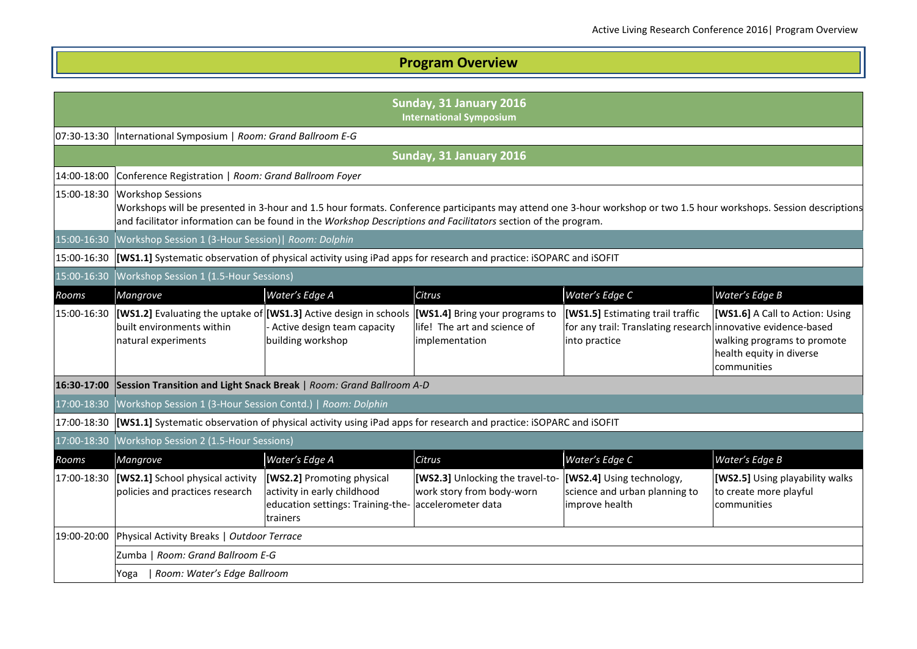## **Program Overview**

|             | Sunday, 31 January 2016<br><b>International Symposium</b>           |                                                                                                                                       |                                                                                     |                                                                                                                    |                                                                                                                                                                    |
|-------------|---------------------------------------------------------------------|---------------------------------------------------------------------------------------------------------------------------------------|-------------------------------------------------------------------------------------|--------------------------------------------------------------------------------------------------------------------|--------------------------------------------------------------------------------------------------------------------------------------------------------------------|
|             | 07:30-13:30  International Symposium   Room: Grand Ballroom E-G     |                                                                                                                                       |                                                                                     |                                                                                                                    |                                                                                                                                                                    |
|             |                                                                     |                                                                                                                                       | Sunday, 31 January 2016                                                             |                                                                                                                    |                                                                                                                                                                    |
| 14:00-18:00 | Conference Registration   Room: Grand Ballroom Foyer                |                                                                                                                                       |                                                                                     |                                                                                                                    |                                                                                                                                                                    |
| 15:00-18:30 | <b>Workshop Sessions</b>                                            | and facilitator information can be found in the Workshop Descriptions and Facilitators section of the program.                        |                                                                                     |                                                                                                                    | Workshops will be presented in 3-hour and 1.5 hour formats. Conference participants may attend one 3-hour workshop or two 1.5 hour workshops. Session descriptions |
| 15:00-16:30 | Workshop Session 1 (3-Hour Session)   Room: Dolphin                 |                                                                                                                                       |                                                                                     |                                                                                                                    |                                                                                                                                                                    |
|             |                                                                     | 15:00-16:30 [WS1.1] Systematic observation of physical activity using iPad apps for research and practice: iSOPARC and iSOFIT         |                                                                                     |                                                                                                                    |                                                                                                                                                                    |
| 15:00-16:30 | Workshop Session 1 (1.5-Hour Sessions)                              |                                                                                                                                       |                                                                                     |                                                                                                                    |                                                                                                                                                                    |
| Rooms       | Mangrove                                                            | Water's Edge A                                                                                                                        | Citrus                                                                              | Water's Edge C                                                                                                     | Water's Edge B                                                                                                                                                     |
| 15:00-16:30 | built environments within<br>natural experiments                    | <b>[WS1.2]</b> Evaluating the uptake of <b>[WS1.3]</b> Active design in schools<br>- Active design team capacity<br>building workshop | [WS1.4] Bring your programs to<br>life! The art and science of<br>implementation    | [WS1.5] Estimating trail traffic<br>for any trail: Translating research innovative evidence-based<br>into practice | [WS1.6] A Call to Action: Using<br>walking programs to promote<br>health equity in diverse<br>communities                                                          |
| 16:30-17:00 |                                                                     | Session Transition and Light Snack Break   Room: Grand Ballroom A-D                                                                   |                                                                                     |                                                                                                                    |                                                                                                                                                                    |
| 17:00-18:30 | Workshop Session 1 (3-Hour Session Contd.)   Room: Dolphin          |                                                                                                                                       |                                                                                     |                                                                                                                    |                                                                                                                                                                    |
| 17:00-18:30 |                                                                     | [WS1.1] Systematic observation of physical activity using iPad apps for research and practice: iSOPARC and iSOFIT                     |                                                                                     |                                                                                                                    |                                                                                                                                                                    |
| 17:00-18:30 | Workshop Session 2 (1.5-Hour Sessions)                              |                                                                                                                                       |                                                                                     |                                                                                                                    |                                                                                                                                                                    |
| Rooms       | Mangrove                                                            | Water's Edge A                                                                                                                        | Citrus                                                                              | Water's Edge C                                                                                                     | Water's Edge B                                                                                                                                                     |
| 17:00-18:30 | [WS2.1] School physical activity<br>policies and practices research | [WS2.2] Promoting physical<br>activity in early childhood<br>education settings: Training-the-<br>trainers                            | [WS2.3] Unlocking the travel-to-<br>work story from body-worn<br>accelerometer data | [WS2.4] Using technology,<br>science and urban planning to<br>improve health                                       | [WS2.5] Using playability walks<br>to create more playful<br>communities                                                                                           |
| 19:00-20:00 | Physical Activity Breaks   Outdoor Terrace                          |                                                                                                                                       |                                                                                     |                                                                                                                    |                                                                                                                                                                    |
|             | Zumba   Room: Grand Ballroom E-G                                    |                                                                                                                                       |                                                                                     |                                                                                                                    |                                                                                                                                                                    |
|             | Room: Water's Edge Ballroom<br>Yoga                                 |                                                                                                                                       |                                                                                     |                                                                                                                    |                                                                                                                                                                    |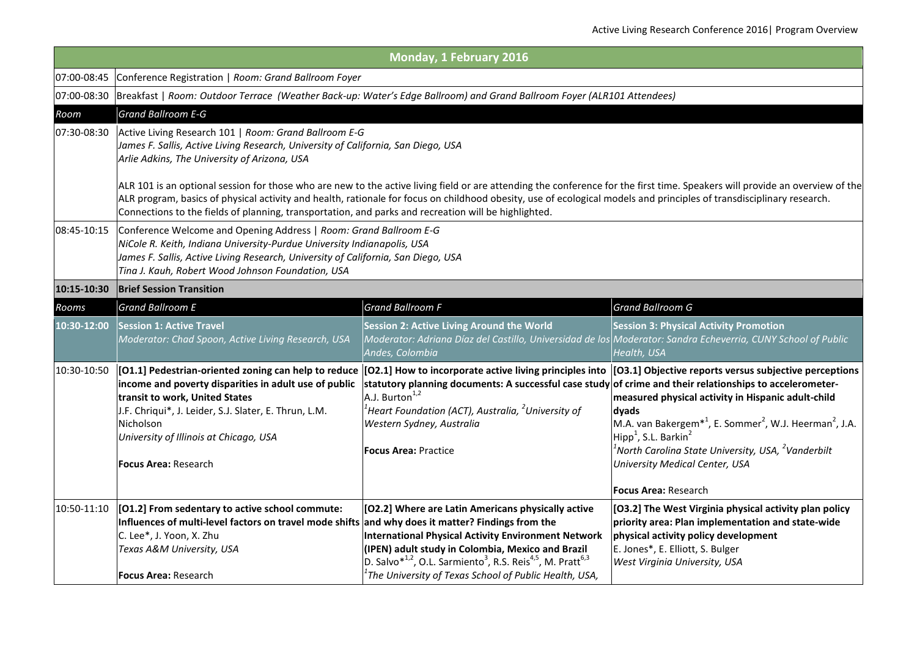|             |                                                                                                                                                                                                                                                                                                                                                                                                                                                               | Monday, 1 February 2016                                                                                                                                                                                                                                                                                                                                  |                                                                                                                                                                                                                                                                                                                                                                                                                                                                                                                  |  |
|-------------|---------------------------------------------------------------------------------------------------------------------------------------------------------------------------------------------------------------------------------------------------------------------------------------------------------------------------------------------------------------------------------------------------------------------------------------------------------------|----------------------------------------------------------------------------------------------------------------------------------------------------------------------------------------------------------------------------------------------------------------------------------------------------------------------------------------------------------|------------------------------------------------------------------------------------------------------------------------------------------------------------------------------------------------------------------------------------------------------------------------------------------------------------------------------------------------------------------------------------------------------------------------------------------------------------------------------------------------------------------|--|
|             | 07:00-08:45 Conference Registration   Room: Grand Ballroom Foyer                                                                                                                                                                                                                                                                                                                                                                                              |                                                                                                                                                                                                                                                                                                                                                          |                                                                                                                                                                                                                                                                                                                                                                                                                                                                                                                  |  |
|             | 07:00-08:30 Breakfast   Room: Outdoor Terrace (Weather Back-up: Water's Edge Ballroom) and Grand Ballroom Foyer (ALR101 Attendees)                                                                                                                                                                                                                                                                                                                            |                                                                                                                                                                                                                                                                                                                                                          |                                                                                                                                                                                                                                                                                                                                                                                                                                                                                                                  |  |
| Room        | <b>Grand Ballroom E-G</b>                                                                                                                                                                                                                                                                                                                                                                                                                                     |                                                                                                                                                                                                                                                                                                                                                          |                                                                                                                                                                                                                                                                                                                                                                                                                                                                                                                  |  |
| 07:30-08:30 | Active Living Research 101   Room: Grand Ballroom E-G<br>James F. Sallis, Active Living Research, University of California, San Diego, USA<br>Arlie Adkins, The University of Arizona, USA                                                                                                                                                                                                                                                                    |                                                                                                                                                                                                                                                                                                                                                          |                                                                                                                                                                                                                                                                                                                                                                                                                                                                                                                  |  |
|             | ALR 101 is an optional session for those who are new to the active living field or are attending the conference for the first time. Speakers will provide an overview of the<br>ALR program, basics of physical activity and health, rationale for focus on childhood obesity, use of ecological models and principles of transdisciplinary research.<br>Connections to the fields of planning, transportation, and parks and recreation will be highlighted. |                                                                                                                                                                                                                                                                                                                                                          |                                                                                                                                                                                                                                                                                                                                                                                                                                                                                                                  |  |
| 08:45-10:15 | Conference Welcome and Opening Address   Room: Grand Ballroom E-G<br>NiCole R. Keith, Indiana University-Purdue University Indianapolis, USA<br>James F. Sallis, Active Living Research, University of California, San Diego, USA<br>Tina J. Kauh, Robert Wood Johnson Foundation, USA                                                                                                                                                                        |                                                                                                                                                                                                                                                                                                                                                          |                                                                                                                                                                                                                                                                                                                                                                                                                                                                                                                  |  |
| 10:15-10:30 | <b>Brief Session Transition</b>                                                                                                                                                                                                                                                                                                                                                                                                                               |                                                                                                                                                                                                                                                                                                                                                          |                                                                                                                                                                                                                                                                                                                                                                                                                                                                                                                  |  |
| Rooms       | <b>Grand Ballroom E</b>                                                                                                                                                                                                                                                                                                                                                                                                                                       | <b>Grand Ballroom F</b>                                                                                                                                                                                                                                                                                                                                  | <b>Grand Ballroom G</b>                                                                                                                                                                                                                                                                                                                                                                                                                                                                                          |  |
| 10:30-12:00 | <b>Session 1: Active Travel</b><br>Moderator: Chad Spoon, Active Living Research, USA                                                                                                                                                                                                                                                                                                                                                                         | <b>Session 2: Active Living Around the World</b><br>Moderator: Adriana Díaz del Castillo, Universidad de los Moderator: Sandra Echeverria, CUNY School of Public<br>Andes, Colombia                                                                                                                                                                      | <b>Session 3: Physical Activity Promotion</b><br>Health, USA                                                                                                                                                                                                                                                                                                                                                                                                                                                     |  |
| 10:30-10:50 | income and poverty disparities in adult use of public<br>transit to work, United States<br>J.F. Chriqui*, J. Leider, S.J. Slater, E. Thrun, L.M.<br>Nicholson<br>University of Illinois at Chicago, USA<br>Focus Area: Research                                                                                                                                                                                                                               | statutory planning documents: A successful case study of crime and their relationships to accelerometer-<br>A.J. Burton <sup>1,2</sup><br>$^1$ Heart Foundation (ACT), Australia, $^2$ University of<br>Western Sydney, Australia<br><b>Focus Area: Practice</b>                                                                                         | [01.1] Pedestrian-oriented zoning can help to reduce [02.1] How to incorporate active living principles into [03.1] Objective reports versus subjective perceptions<br>measured physical activity in Hispanic adult-child<br>dyads<br>M.A. van Bakergem <sup>*1</sup> , E. Sommer <sup>2</sup> , W.J. Heerman <sup>2</sup> , J.A.<br>Hipp <sup>1</sup> , S.L. Barkin <sup>2</sup><br>$^1$ North Carolina State University, USA, $^2$ Vanderbilt<br>University Medical Center, USA<br><b>Focus Area: Research</b> |  |
| 10:50-11:10 | [01.2] From sedentary to active school commute:<br>Influences of multi-level factors on travel mode shifts and why does it matter? Findings from the<br>C. Lee*, J. Yoon, X. Zhu<br>Texas A&M University, USA<br><b>Focus Area: Research</b>                                                                                                                                                                                                                  | [O2.2] Where are Latin Americans physically active<br><b>International Physical Activity Environment Network</b><br>(IPEN) adult study in Colombia, Mexico and Brazil<br>D. Salvo* <sup>1,2</sup> , O.L. Sarmiento <sup>3</sup> , R.S. Reis <sup>4,5</sup> , M. Pratt <sup>6,3</sup><br>$^{\rm 1}$ The University of Texas School of Public Health, USA, | [O3.2] The West Virginia physical activity plan policy<br>priority area: Plan implementation and state-wide<br>physical activity policy development<br>E. Jones*, E. Elliott, S. Bulger<br>West Virginia University, USA                                                                                                                                                                                                                                                                                         |  |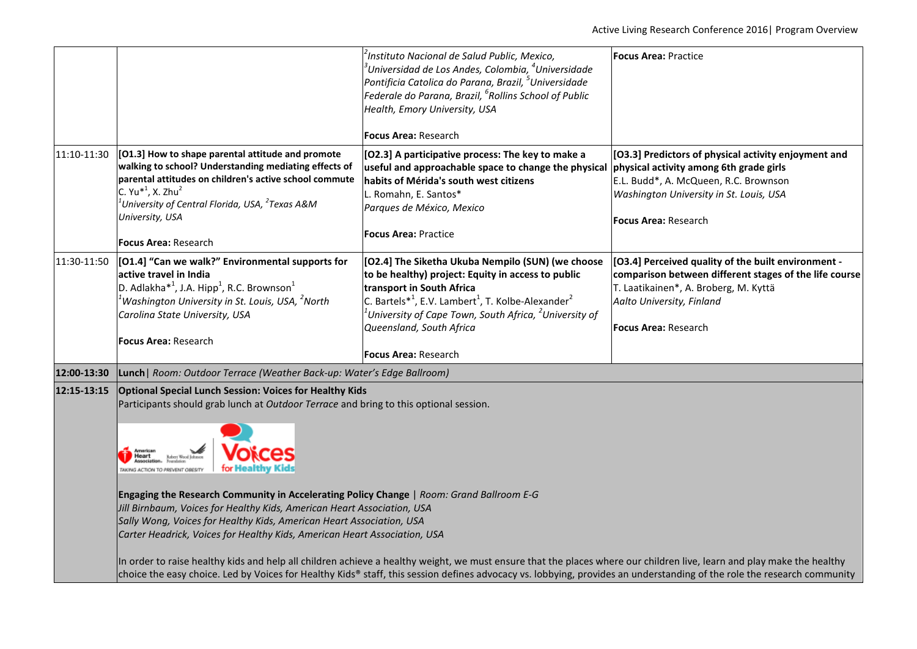|                                                                                                                                                                                                                                                                                                                                | <sup>2</sup> Instituto Nacional de Salud Public, Mexico,<br>$^3$ Universidad de Los Andes, Colombia, $^4$ Universidade<br>Pontificia Catolica do Parana, Brazil, <sup>5</sup> Universidade<br>Federale do Parana, Brazil, <sup>6</sup> Rollins School of Public<br>Health, Emory University, USA<br><b>Focus Area: Research</b>              | <b>Focus Area: Practice</b>                                                                                                                                                                                                                                                                                                                                                                                                                                                                                                                                                                                                                                                                                                                                                                                                                                                                                        |
|--------------------------------------------------------------------------------------------------------------------------------------------------------------------------------------------------------------------------------------------------------------------------------------------------------------------------------|----------------------------------------------------------------------------------------------------------------------------------------------------------------------------------------------------------------------------------------------------------------------------------------------------------------------------------------------|--------------------------------------------------------------------------------------------------------------------------------------------------------------------------------------------------------------------------------------------------------------------------------------------------------------------------------------------------------------------------------------------------------------------------------------------------------------------------------------------------------------------------------------------------------------------------------------------------------------------------------------------------------------------------------------------------------------------------------------------------------------------------------------------------------------------------------------------------------------------------------------------------------------------|
| [O1.3] How to shape parental attitude and promote<br>walking to school? Understanding mediating effects of<br>parental attitudes on children's active school commute<br>C. Yu <sup>*1</sup> , X. Zhu <sup>2</sup><br>$^1$ University of Central Florida, USA, $^2$ Texas A&M<br>University, USA<br><b>Focus Area: Research</b> | [O2.3] A participative process: The key to make a<br>useful and approachable space to change the physical<br>habits of Mérida's south west citizens<br>L. Romahn, E. Santos*<br>Parques de México, Mexico<br><b>Focus Area: Practice</b>                                                                                                     | [O3.3] Predictors of physical activity enjoyment and<br>physical activity among 6th grade girls<br>E.L. Budd*, A. McQueen, R.C. Brownson<br>Washington University in St. Louis, USA<br><b>Focus Area: Research</b>                                                                                                                                                                                                                                                                                                                                                                                                                                                                                                                                                                                                                                                                                                 |
| [O1.4] "Can we walk?" Environmental supports for<br>active travel in India<br>D. Adlakha <sup>*1</sup> , J.A. Hipp <sup>1</sup> , R.C. Brownson <sup>1</sup><br>$^1$ Washington University in St. Louis, USA, $^2$ North<br>Carolina State University, USA<br>Focus Area: Research                                             | [O2.4] The Siketha Ukuba Nempilo (SUN) (we choose<br>to be healthy) project: Equity in access to public<br>transport in South Africa<br>C. Bartels $*^1$ , E.V. Lambert <sup>1</sup> , T. Kolbe-Alexander <sup>2</sup><br>$^1$ University of Cape Town, South Africa, $^2$ University of<br>Queensland, South Africa<br>Focus Area: Research | [O3.4] Perceived quality of the built environment -<br>comparison between different stages of the life course<br>T. Laatikainen*, A. Broberg, M. Kyttä<br>Aalto University, Finland<br>Focus Area: Research                                                                                                                                                                                                                                                                                                                                                                                                                                                                                                                                                                                                                                                                                                        |
|                                                                                                                                                                                                                                                                                                                                |                                                                                                                                                                                                                                                                                                                                              |                                                                                                                                                                                                                                                                                                                                                                                                                                                                                                                                                                                                                                                                                                                                                                                                                                                                                                                    |
| ices<br>American<br>Heart<br>for Healthy Kids<br>TAKING ACTION TO PREVENT OBESITY                                                                                                                                                                                                                                              |                                                                                                                                                                                                                                                                                                                                              |                                                                                                                                                                                                                                                                                                                                                                                                                                                                                                                                                                                                                                                                                                                                                                                                                                                                                                                    |
|                                                                                                                                                                                                                                                                                                                                |                                                                                                                                                                                                                                                                                                                                              | Lunch   Room: Outdoor Terrace (Weather Back-up: Water's Edge Ballroom)<br><b>Optional Special Lunch Session: Voices for Healthy Kids</b><br>Participants should grab lunch at Outdoor Terrace and bring to this optional session.<br>Engaging the Research Community in Accelerating Policy Change   Room: Grand Ballroom E-G<br>Jill Birnbaum, Voices for Healthy Kids, American Heart Association, USA<br>Sally Wong, Voices for Healthy Kids, American Heart Association, USA<br>Carter Headrick, Voices for Healthy Kids, American Heart Association, USA<br>In order to raise healthy kids and help all children achieve a healthy weight, we must ensure that the places where our children live, learn and play make the healthy<br>choice the easy choice. Led by Voices for Healthy Kids® staff, this session defines advocacy vs. lobbying, provides an understanding of the role the research community |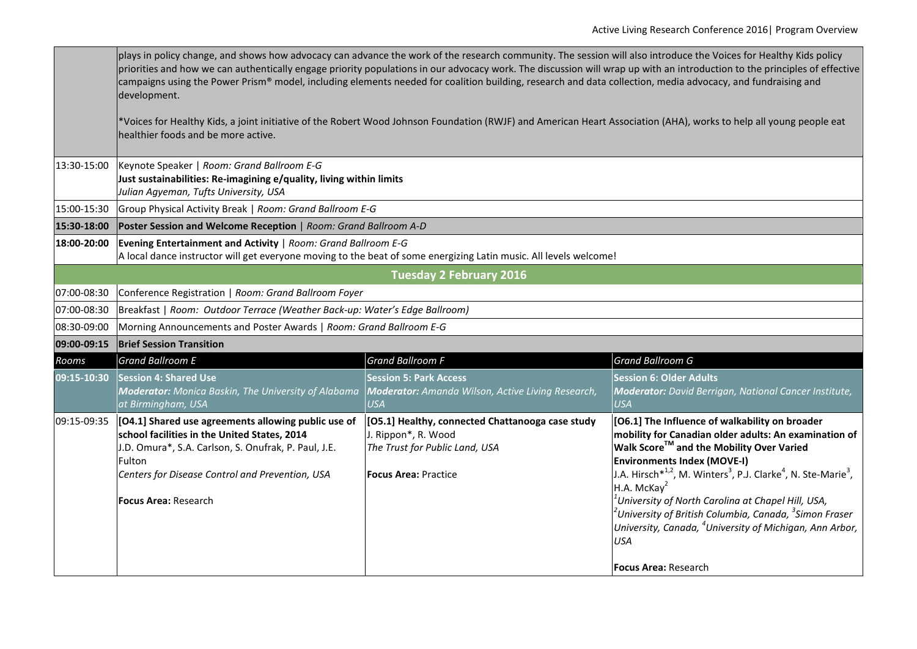|             | plays in policy change, and shows how advocacy can advance the work of the research community. The session will also introduce the Voices for Healthy Kids policy<br>priorities and how we can authentically engage priority populations in our advocacy work. The discussion will wrap up with an introduction to the principles of effective<br>campaigns using the Power Prism® model, including elements needed for coalition building, research and data collection, media advocacy, and fundraising and<br>development. |                                                                                                                                          |                                                                                                                                                                                                                                                                                                                                                                                                                                                                                                                                                                                        |  |  |
|-------------|-------------------------------------------------------------------------------------------------------------------------------------------------------------------------------------------------------------------------------------------------------------------------------------------------------------------------------------------------------------------------------------------------------------------------------------------------------------------------------------------------------------------------------|------------------------------------------------------------------------------------------------------------------------------------------|----------------------------------------------------------------------------------------------------------------------------------------------------------------------------------------------------------------------------------------------------------------------------------------------------------------------------------------------------------------------------------------------------------------------------------------------------------------------------------------------------------------------------------------------------------------------------------------|--|--|
|             | *Voices for Healthy Kids, a joint initiative of the Robert Wood Johnson Foundation (RWJF) and American Heart Association (AHA), works to help all young people eat<br>healthier foods and be more active.                                                                                                                                                                                                                                                                                                                     |                                                                                                                                          |                                                                                                                                                                                                                                                                                                                                                                                                                                                                                                                                                                                        |  |  |
| 13:30-15:00 | Keynote Speaker   Room: Grand Ballroom E-G<br>Just sustainabilities: Re-imagining e/quality, living within limits<br>Julian Agyeman, Tufts University, USA                                                                                                                                                                                                                                                                                                                                                                    |                                                                                                                                          |                                                                                                                                                                                                                                                                                                                                                                                                                                                                                                                                                                                        |  |  |
| 15:00-15:30 | Group Physical Activity Break   Room: Grand Ballroom E-G                                                                                                                                                                                                                                                                                                                                                                                                                                                                      |                                                                                                                                          |                                                                                                                                                                                                                                                                                                                                                                                                                                                                                                                                                                                        |  |  |
| 15:30-18:00 | Poster Session and Welcome Reception   Room: Grand Ballroom A-D                                                                                                                                                                                                                                                                                                                                                                                                                                                               |                                                                                                                                          |                                                                                                                                                                                                                                                                                                                                                                                                                                                                                                                                                                                        |  |  |
| 18:00-20:00 | Evening Entertainment and Activity   Room: Grand Ballroom E-G<br>A local dance instructor will get everyone moving to the beat of some energizing Latin music. All levels welcome!                                                                                                                                                                                                                                                                                                                                            |                                                                                                                                          |                                                                                                                                                                                                                                                                                                                                                                                                                                                                                                                                                                                        |  |  |
|             | <b>Tuesday 2 February 2016</b>                                                                                                                                                                                                                                                                                                                                                                                                                                                                                                |                                                                                                                                          |                                                                                                                                                                                                                                                                                                                                                                                                                                                                                                                                                                                        |  |  |
| 07:00-08:30 | Conference Registration   Room: Grand Ballroom Foyer                                                                                                                                                                                                                                                                                                                                                                                                                                                                          |                                                                                                                                          |                                                                                                                                                                                                                                                                                                                                                                                                                                                                                                                                                                                        |  |  |
| 07:00-08:30 | Breakfast   Room: Outdoor Terrace (Weather Back-up: Water's Edge Ballroom)                                                                                                                                                                                                                                                                                                                                                                                                                                                    |                                                                                                                                          |                                                                                                                                                                                                                                                                                                                                                                                                                                                                                                                                                                                        |  |  |
| 08:30-09:00 | Morning Announcements and Poster Awards   Room: Grand Ballroom E-G                                                                                                                                                                                                                                                                                                                                                                                                                                                            |                                                                                                                                          |                                                                                                                                                                                                                                                                                                                                                                                                                                                                                                                                                                                        |  |  |
| 09:00-09:15 | <b>Brief Session Transition</b>                                                                                                                                                                                                                                                                                                                                                                                                                                                                                               |                                                                                                                                          |                                                                                                                                                                                                                                                                                                                                                                                                                                                                                                                                                                                        |  |  |
| Rooms       | <b>Grand Ballroom E</b>                                                                                                                                                                                                                                                                                                                                                                                                                                                                                                       | <b>Grand Ballroom F</b>                                                                                                                  | <b>Grand Ballroom G</b>                                                                                                                                                                                                                                                                                                                                                                                                                                                                                                                                                                |  |  |
| 09:15-10:30 | <b>Session 4: Shared Use</b><br><b>Moderator:</b> Monica Baskin, The University of Alabama<br>at Birmingham, USA                                                                                                                                                                                                                                                                                                                                                                                                              | <b>Session 5: Park Access</b><br>Moderator: Amanda Wilson, Active Living Research,<br>USA                                                | <b>Session 6: Older Adults</b><br><b>Moderator:</b> David Berrigan, National Cancer Institute,<br><b>USA</b>                                                                                                                                                                                                                                                                                                                                                                                                                                                                           |  |  |
| 09:15-09:35 | [04.1] Shared use agreements allowing public use of<br>school facilities in the United States, 2014<br>J.D. Omura*, S.A. Carlson, S. Onufrak, P. Paul, J.E.<br>Fulton<br>Centers for Disease Control and Prevention, USA<br>Focus Area: Research                                                                                                                                                                                                                                                                              | [O5.1] Healthy, connected Chattanooga case study<br>J. Rippon*, R. Wood<br>The Trust for Public Land, USA<br><b>Focus Area: Practice</b> | [O6.1] The Influence of walkability on broader<br>mobility for Canadian older adults: An examination of<br>Walk Score™ and the Mobility Over Varied<br><b>Environments Index (MOVE-I)</b><br>J.A. Hirsch <sup>*1,2</sup> , M. Winters <sup>3</sup> , P.J. Clarke <sup>4</sup> , N. Ste-Marie <sup>3</sup> ,<br>H.A. McKay <sup>2</sup><br>$^1$ University of North Carolina at Chapel Hill, USA,<br>$^2$ University of British Columbia, Canada, $^3$ Simon Fraser<br>University, Canada, <sup>4</sup> University of Michigan, Ann Arbor,<br><b>USA</b><br><b>Focus Area: Research</b> |  |  |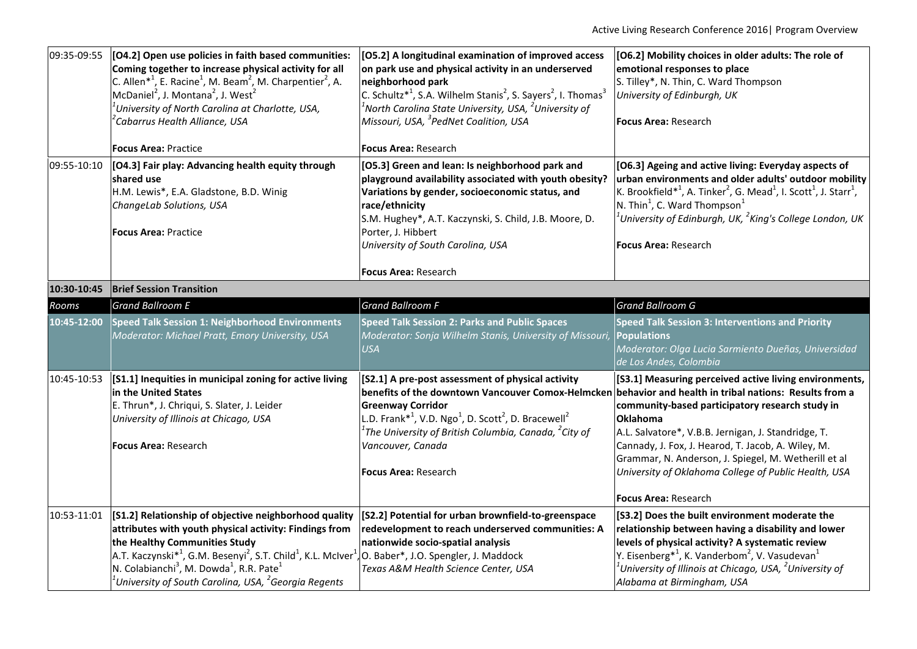|             | 09:35-09:55 [O4.2] Open use policies in faith based communities:<br>Coming together to increase physical activity for all<br>C. Allen <sup>*1</sup> , E. Racine <sup>1</sup> , M. Beam <sup>2</sup> , M. Charpentier <sup>2</sup> , A.<br>McDaniel <sup>2</sup> , J. Montana <sup>2</sup> , J. West <sup>2</sup><br>$^1$ University of North Carolina at Charlotte, USA,<br><sup>2</sup> Cabarrus Health Alliance, USA | [O5.2] A longitudinal examination of improved access<br>on park use and physical activity in an underserved<br>neighborhood park<br>C. Schultz <sup>*1</sup> , S.A. Wilhelm Stanis <sup>2</sup> , S. Sayers <sup>2</sup> , I. Thomas <sup>3</sup><br>$^1$ North Carolina State University, USA, $^2$ University of<br>Missouri, USA, <sup>3</sup> PedNet Coalition, USA | [O6.2] Mobility choices in older adults: The role of<br>emotional responses to place<br>S. Tilley*, N. Thin, C. Ward Thompson<br>University of Edinburgh, UK<br><b>Focus Area: Research</b>                                                                                                                                                                                                                                                |
|-------------|------------------------------------------------------------------------------------------------------------------------------------------------------------------------------------------------------------------------------------------------------------------------------------------------------------------------------------------------------------------------------------------------------------------------|-------------------------------------------------------------------------------------------------------------------------------------------------------------------------------------------------------------------------------------------------------------------------------------------------------------------------------------------------------------------------|--------------------------------------------------------------------------------------------------------------------------------------------------------------------------------------------------------------------------------------------------------------------------------------------------------------------------------------------------------------------------------------------------------------------------------------------|
|             | <b>Focus Area: Practice</b>                                                                                                                                                                                                                                                                                                                                                                                            | <b>Focus Area: Research</b>                                                                                                                                                                                                                                                                                                                                             |                                                                                                                                                                                                                                                                                                                                                                                                                                            |
| 09:55-10:10 | [04.3] Fair play: Advancing health equity through<br>shared use<br>H.M. Lewis*, E.A. Gladstone, B.D. Winig<br>ChangeLab Solutions, USA<br><b>Focus Area: Practice</b>                                                                                                                                                                                                                                                  | [O5.3] Green and lean: Is neighborhood park and<br>playground availability associated with youth obesity?<br>Variations by gender, socioeconomic status, and<br>race/ethnicity<br>S.M. Hughey*, A.T. Kaczynski, S. Child, J.B. Moore, D.<br>Porter, J. Hibbert<br>University of South Carolina, USA                                                                     | [O6.3] Ageing and active living: Everyday aspects of<br>urban environments and older adults' outdoor mobility<br>K. Brookfield <sup>*1</sup> , A. Tinker <sup>2</sup> , G. Mead <sup>1</sup> , I. Scott <sup>1</sup> , J. Starr <sup>1</sup> ,<br>N. Thin <sup>1</sup> , C. Ward Thompson <sup>1</sup><br>$^1$ University of Edinburgh, UK, $^2$ King's College London, UK<br><b>Focus Area: Research</b>                                  |
|             |                                                                                                                                                                                                                                                                                                                                                                                                                        | Focus Area: Research                                                                                                                                                                                                                                                                                                                                                    |                                                                                                                                                                                                                                                                                                                                                                                                                                            |
| 10:30-10:45 | <b>Brief Session Transition</b>                                                                                                                                                                                                                                                                                                                                                                                        |                                                                                                                                                                                                                                                                                                                                                                         |                                                                                                                                                                                                                                                                                                                                                                                                                                            |
| Rooms       | <b>Grand Ballroom E</b>                                                                                                                                                                                                                                                                                                                                                                                                | <b>Grand Ballroom F</b>                                                                                                                                                                                                                                                                                                                                                 | <b>Grand Ballroom G</b>                                                                                                                                                                                                                                                                                                                                                                                                                    |
| 10:45-12:00 | Speed Talk Session 1: Neighborhood Environments<br>Moderator: Michael Pratt, Emory University, USA                                                                                                                                                                                                                                                                                                                     | <b>Speed Talk Session 2: Parks and Public Spaces</b><br>Moderator: Sonja Wilhelm Stanis, University of Missouri,<br><b>USA</b>                                                                                                                                                                                                                                          | <b>Speed Talk Session 3: Interventions and Priority</b><br><b>Populations</b><br>Moderator: Olga Lucia Sarmiento Dueñas, Universidad<br>de Los Andes, Colombia                                                                                                                                                                                                                                                                             |
| 10:45-10:53 | [S1.1] Inequities in municipal zoning for active living<br>in the United States<br>E. Thrun*, J. Chriqui, S. Slater, J. Leider<br>University of Illinois at Chicago, USA<br>Focus Area: Research                                                                                                                                                                                                                       | [S2.1] A pre-post assessment of physical activity<br>benefits of the downtown Vancouver Comox-Helmcker<br><b>Greenway Corridor</b><br>L.D. Frank <sup>*1</sup> , V.D. Ngo <sup>1</sup> , D. Scott <sup>2</sup> , D. Bracewell <sup>2</sup><br>The University of British Columbia, Canada, <sup>2</sup> City of<br>Vancouver, Canada<br><b>Focus Area: Research</b>      | [S3.1] Measuring perceived active living environments,<br>behavior and health in tribal nations: Results from a<br>community-based participatory research study in<br>Oklahoma<br>A.L. Salvatore*, V.B.B. Jernigan, J. Standridge, T.<br>Cannady, J. Fox, J. Hearod, T. Jacob, A. Wiley, M.<br>Grammar, N. Anderson, J. Spiegel, M. Wetherill et al<br>University of Oklahoma College of Public Health, USA<br><b>Focus Area: Research</b> |
| 10:53-11:01 | [S1.2] Relationship of objective neighborhood quality<br>attributes with youth physical activity: Findings from<br>the Healthy Communities Study<br>A.T. Kaczynski $*^1$ , G.M. Besenyi <sup>2</sup> , S.T. Child <sup>1</sup> , K.L. McIver <sup>1</sup> , O. Baber <sup>*</sup> , J.O. Spengler, J. Maddock<br>N. Colabianchi <sup>3</sup> , M. Dowda <sup>1</sup> , R.R. Pate <sup>1</sup>                          | [S2.2] Potential for urban brownfield-to-greenspace<br>redevelopment to reach underserved communities: A<br>nationwide socio-spatial analysis<br>Texas A&M Health Science Center, USA                                                                                                                                                                                   | [S3.2] Does the built environment moderate the<br>relationship between having a disability and lower<br>levels of physical activity? A systematic review<br>Y. Eisenberg <sup>*1</sup> , K. Vanderbom <sup>2</sup> , V. Vasudevan <sup>1</sup><br>$^1$ University of Illinois at Chicago, USA, $^2$ University of                                                                                                                          |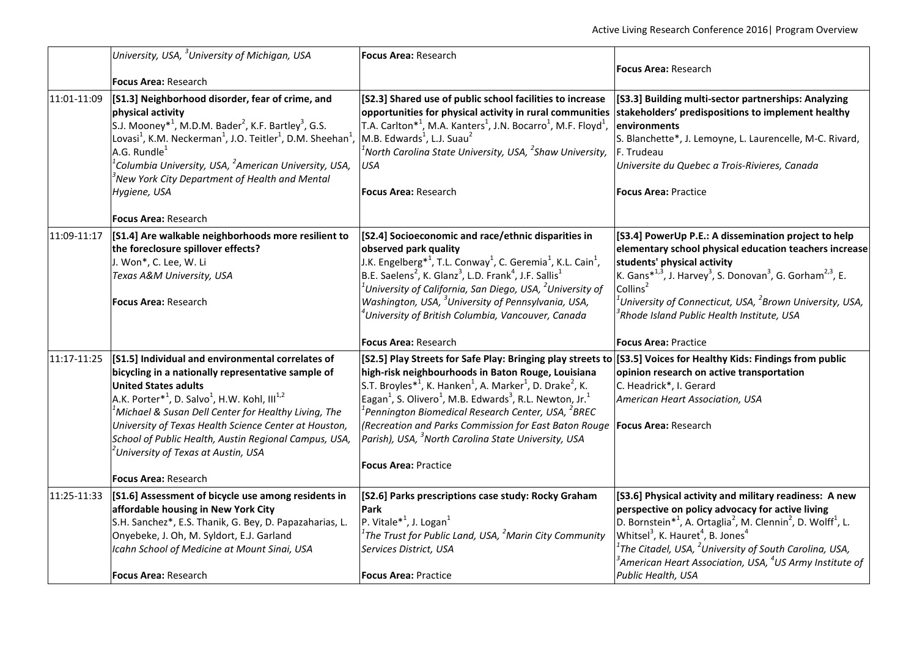|             | University, USA, <sup>3</sup> University of Michigan, USA                                                                                     | Focus Area: Research                                                                                                                                                        |                                                                                                                                                                                       |
|-------------|-----------------------------------------------------------------------------------------------------------------------------------------------|-----------------------------------------------------------------------------------------------------------------------------------------------------------------------------|---------------------------------------------------------------------------------------------------------------------------------------------------------------------------------------|
|             |                                                                                                                                               |                                                                                                                                                                             | <b>Focus Area: Research</b>                                                                                                                                                           |
|             | <b>Focus Area: Research</b><br>[S1.3] Neighborhood disorder, fear of crime, and                                                               | [S2.3] Shared use of public school facilities to increase                                                                                                                   | [S3.3] Building multi-sector partnerships: Analyzing                                                                                                                                  |
| 11:01-11:09 | physical activity                                                                                                                             | opportunities for physical activity in rural communities                                                                                                                    | stakeholders' predispositions to implement healthy                                                                                                                                    |
|             | S.J. Mooney <sup>*1</sup> , M.D.M. Bader <sup>2</sup> , K.F. Bartley <sup>3</sup> , G.S.                                                      | T.A. Carlton <sup>*1</sup> , M.A. Kanters <sup>1</sup> , J.N. Bocarro <sup>1</sup> , M.F. Floyd <sup>1</sup> ,                                                              | environments                                                                                                                                                                          |
|             | Lovasi <sup>1</sup> , K.M. Neckerman <sup>1</sup> , J.O. Teitler <sup>1</sup> , D.M. Sheehan <sup>1</sup> ,                                   | M.B. Edwards <sup>1</sup> , L.J. Suau <sup>2</sup>                                                                                                                          | S. Blanchette*, J. Lemoyne, L. Laurencelle, M-C. Rivard,                                                                                                                              |
|             | A.G. Rundle <sup>1</sup>                                                                                                                      | $^1$ North Carolina State University, USA, $^2$ Shaw University,                                                                                                            | F. Trudeau                                                                                                                                                                            |
|             | <sup>1</sup> Columbia University, USA, <sup>2</sup> American University, USA,<br><sup>3</sup> New York City Department of Health and Mental   | <b>USA</b>                                                                                                                                                                  | Universite du Quebec a Trois-Rivieres, Canada                                                                                                                                         |
|             | Hygiene, USA                                                                                                                                  | <b>Focus Area: Research</b>                                                                                                                                                 | <b>Focus Area: Practice</b>                                                                                                                                                           |
|             | <b>Focus Area: Research</b>                                                                                                                   |                                                                                                                                                                             |                                                                                                                                                                                       |
| 11:09-11:17 | [S1.4] Are walkable neighborhoods more resilient to                                                                                           | [S2.4] Socioeconomic and race/ethnic disparities in                                                                                                                         | [S3.4] PowerUp P.E.: A dissemination project to help                                                                                                                                  |
|             | the foreclosure spillover effects?                                                                                                            | observed park quality                                                                                                                                                       | elementary school physical education teachers increase                                                                                                                                |
|             | J. Won*, C. Lee, W. Li                                                                                                                        | J.K. Engelberg $*^1$ , T.L. Conway <sup>1</sup> , C. Geremia <sup>1</sup> , K.L. Cain <sup>1</sup> ,                                                                        | students' physical activity                                                                                                                                                           |
|             | Texas A&M University, USA                                                                                                                     | B.E. Saelens <sup>2</sup> , K. Glanz <sup>3</sup> , L.D. Frank <sup>4</sup> , J.F. Sallis <sup>1</sup><br>$^1$ University of California, San Diego, USA, $^2$ University of | K. Gans $*^{1,3}$ , J. Harvey <sup>3</sup> , S. Donovan <sup>3</sup> , G. Gorham <sup>2,3</sup> , E.<br>Collins <sup>2</sup>                                                          |
|             | Focus Area: Research                                                                                                                          | Washington, USA, <sup>3</sup> University of Pennsylvania, USA,                                                                                                              | $^1$ University of Connecticut, USA, $^2$ Brown University, USA,                                                                                                                      |
|             |                                                                                                                                               | <sup>‡</sup> University of British Columbia, Vancouver, Canada                                                                                                              | $\beta$ Rhode Island Public Health Institute, USA                                                                                                                                     |
|             |                                                                                                                                               | <b>Focus Area: Research</b>                                                                                                                                                 | <b>Focus Area: Practice</b>                                                                                                                                                           |
| 11:17-11:25 | [S1.5] Individual and environmental correlates of                                                                                             | [S2.5] Play Streets for Safe Play: Bringing play streets to [[S3.5] Voices for Healthy Kids: Findings from public                                                           |                                                                                                                                                                                       |
|             | bicycling in a nationally representative sample of                                                                                            | high-risk neighbourhoods in Baton Rouge, Louisiana                                                                                                                          | opinion research on active transportation                                                                                                                                             |
|             | <b>United States adults</b>                                                                                                                   | S.T. Broyles <sup>*1</sup> , K. Hanken <sup>1</sup> , A. Marker <sup>1</sup> , D. Drake <sup>2</sup> , K.                                                                   | C. Headrick*, I. Gerard                                                                                                                                                               |
|             | A.K. Porter <sup>*1</sup> , D. Salvo <sup>1</sup> , H.W. Kohl, III <sup>1,2</sup><br>$^1$ Michael & Susan Dell Center for Healthy Living, The | Eagan <sup>1</sup> , S. Olivero <sup>1</sup> , M.B. Edwards <sup>3</sup> , R.L. Newton, Jr. <sup>1</sup><br>$^1$ Pennington Biomedical Research Center, USA, $^2$ BREC $^2$ | American Heart Association, USA                                                                                                                                                       |
|             | University of Texas Health Science Center at Houston,                                                                                         | (Recreation and Parks Commission for East Baton Rouge  Focus Area: Research                                                                                                 |                                                                                                                                                                                       |
|             | School of Public Health, Austin Regional Campus, USA,                                                                                         | Parish), USA, <sup>3</sup> North Carolina State University, USA                                                                                                             |                                                                                                                                                                                       |
|             | <sup>2</sup> University of Texas at Austin, USA                                                                                               |                                                                                                                                                                             |                                                                                                                                                                                       |
|             |                                                                                                                                               | <b>Focus Area: Practice</b>                                                                                                                                                 |                                                                                                                                                                                       |
|             | Focus Area: Research                                                                                                                          |                                                                                                                                                                             |                                                                                                                                                                                       |
| 11:25-11:33 | [S1.6] Assessment of bicycle use among residents in                                                                                           | [S2.6] Parks prescriptions case study: Rocky Graham                                                                                                                         | [S3.6] Physical activity and military readiness: A new                                                                                                                                |
|             | affordable housing in New York City                                                                                                           | Park<br>P. Vitale <sup>*1</sup> , J. Logan <sup>1</sup>                                                                                                                     | perspective on policy advocacy for active living                                                                                                                                      |
|             | S.H. Sanchez*, E.S. Thanik, G. Bey, D. Papazaharias, L.<br>Onyebeke, J. Oh, M. Syldort, E.J. Garland                                          | $^{\rm 1}$ The Trust for Public Land, USA, $^{\rm 2}$ Marin City Community                                                                                                  | D. Bornstein <sup>*1</sup> , A. Ortaglia <sup>2</sup> , M. Clennin <sup>2</sup> , D. Wolff <sup>1</sup> , L.<br>Whitsel <sup>3</sup> , K. Hauret <sup>4</sup> , B. Jones <sup>4</sup> |
|             | Icahn School of Medicine at Mount Sinai, USA                                                                                                  | Services District, USA                                                                                                                                                      | $^1$ The Citadel, USA, $^2$ University of South Carolina, USA,                                                                                                                        |
|             |                                                                                                                                               |                                                                                                                                                                             | $^3$ American Heart Association, USA, $^4$ US Army Institute of                                                                                                                       |
|             | <b>Focus Area: Research</b>                                                                                                                   | <b>Focus Area: Practice</b>                                                                                                                                                 | Public Health, USA                                                                                                                                                                    |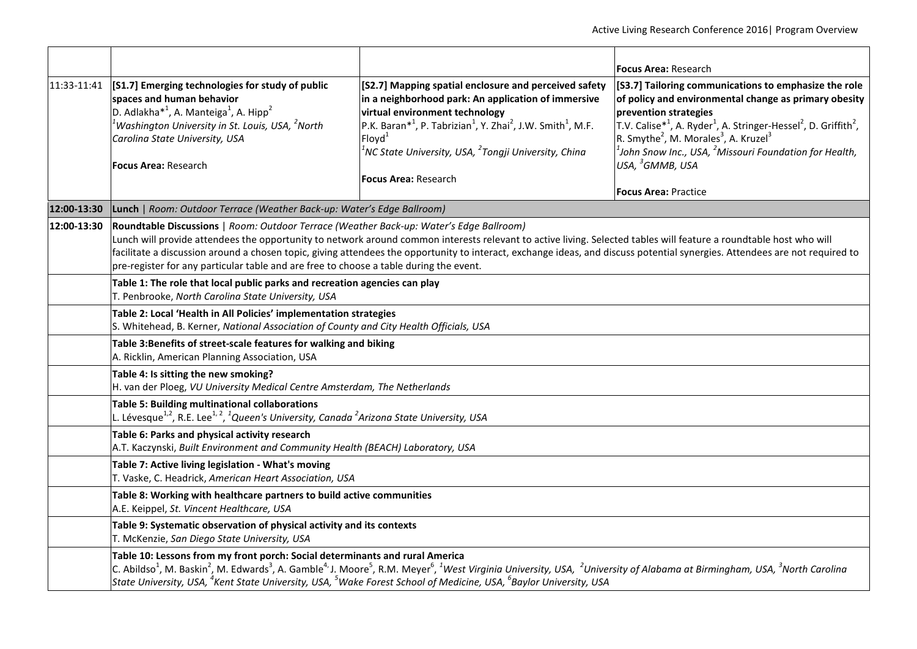|                                                                                                                                  |                                                                                                                                                                                                                                                                                                                                                                                                                                                                                                                                        |                                                                                                                                                                                                                                                                                                                                                                                             | <b>Focus Area:</b> Research                                                                                                                                                                                                                                                                                                                                                                                                                                                          |  |
|----------------------------------------------------------------------------------------------------------------------------------|----------------------------------------------------------------------------------------------------------------------------------------------------------------------------------------------------------------------------------------------------------------------------------------------------------------------------------------------------------------------------------------------------------------------------------------------------------------------------------------------------------------------------------------|---------------------------------------------------------------------------------------------------------------------------------------------------------------------------------------------------------------------------------------------------------------------------------------------------------------------------------------------------------------------------------------------|--------------------------------------------------------------------------------------------------------------------------------------------------------------------------------------------------------------------------------------------------------------------------------------------------------------------------------------------------------------------------------------------------------------------------------------------------------------------------------------|--|
| 11:33-11:41                                                                                                                      | [S1.7] Emerging technologies for study of public<br>spaces and human behavior<br>D. Adlakha <sup>*1</sup> , A. Manteiga <sup>1</sup> , A. Hipp <sup>2</sup><br>Washington University in St. Louis, USA, <sup>2</sup> North<br>Carolina State University, USA<br><b>Focus Area: Research</b>                                                                                                                                                                                                                                            | [S2.7] Mapping spatial enclosure and perceived safety<br>in a neighborhood park: An application of immersive<br>virtual environment technology<br>$\left  P.K. \text{ Baran}^{*1}, P. \text{ Tabrizian}^{1}, Y. \text{Zhai}^{2}, J.W. \text{ Smith}^{1}, M.F. \right $<br>Flovd <sup>1</sup><br>$^1$ NC State University, USA, $^2$ Tongji University, China<br><b>Focus Area: Research</b> | [S3.7] Tailoring communications to emphasize the role<br>of policy and environmental change as primary obesity<br>prevention strategies<br>T.V. Calise <sup>*1</sup> , A. Ryder <sup>1</sup> , A. Stringer-Hessel <sup>2</sup> , D. Griffith <sup>2</sup> ,<br>R. Smythe <sup>2</sup> , M. Morales <sup>3</sup> , A. Kruzel <sup>3</sup><br>$^{\rm 1}$ John Snow Inc., USA, $^{\rm 2}$ Missouri Foundation for Health,<br>USA, <sup>3</sup> GMMB, USA<br><b>Focus Area: Practice</b> |  |
| 12:00-13:30                                                                                                                      | Lunch   Room: Outdoor Terrace (Weather Back-up: Water's Edge Ballroom)                                                                                                                                                                                                                                                                                                                                                                                                                                                                 |                                                                                                                                                                                                                                                                                                                                                                                             |                                                                                                                                                                                                                                                                                                                                                                                                                                                                                      |  |
| 12:00-13:30                                                                                                                      | Roundtable Discussions   Room: Outdoor Terrace (Weather Back-up: Water's Edge Ballroom)<br>Lunch will provide attendees the opportunity to network around common interests relevant to active living. Selected tables will feature a roundtable host who will<br>facilitate a discussion around a chosen topic, giving attendees the opportunity to interact, exchange ideas, and discuss potential synergies. Attendees are not required to<br>pre-register for any particular table and are free to choose a table during the event. |                                                                                                                                                                                                                                                                                                                                                                                             |                                                                                                                                                                                                                                                                                                                                                                                                                                                                                      |  |
| Table 1: The role that local public parks and recreation agencies can play<br>T. Penbrooke, North Carolina State University, USA |                                                                                                                                                                                                                                                                                                                                                                                                                                                                                                                                        |                                                                                                                                                                                                                                                                                                                                                                                             |                                                                                                                                                                                                                                                                                                                                                                                                                                                                                      |  |
|                                                                                                                                  | Table 2: Local 'Health in All Policies' implementation strategies<br>S. Whitehead, B. Kerner, National Association of County and City Health Officials, USA                                                                                                                                                                                                                                                                                                                                                                            |                                                                                                                                                                                                                                                                                                                                                                                             |                                                                                                                                                                                                                                                                                                                                                                                                                                                                                      |  |
|                                                                                                                                  | Table 3: Benefits of street-scale features for walking and biking<br>A. Ricklin, American Planning Association, USA                                                                                                                                                                                                                                                                                                                                                                                                                    |                                                                                                                                                                                                                                                                                                                                                                                             |                                                                                                                                                                                                                                                                                                                                                                                                                                                                                      |  |
|                                                                                                                                  | Table 4: Is sitting the new smoking?<br>H. van der Ploeg, VU University Medical Centre Amsterdam, The Netherlands<br>Table 5: Building multinational collaborations<br>L. Lévesque $^{1,2}$ , R.E. Lee $^{1,\,2}$ , $^1$ Queen's University, Canada $^2$ Arizona State University, USA                                                                                                                                                                                                                                                 |                                                                                                                                                                                                                                                                                                                                                                                             |                                                                                                                                                                                                                                                                                                                                                                                                                                                                                      |  |
|                                                                                                                                  |                                                                                                                                                                                                                                                                                                                                                                                                                                                                                                                                        |                                                                                                                                                                                                                                                                                                                                                                                             |                                                                                                                                                                                                                                                                                                                                                                                                                                                                                      |  |
|                                                                                                                                  | Table 6: Parks and physical activity research<br>A.T. Kaczynski, Built Environment and Community Health (BEACH) Laboratory, USA                                                                                                                                                                                                                                                                                                                                                                                                        |                                                                                                                                                                                                                                                                                                                                                                                             |                                                                                                                                                                                                                                                                                                                                                                                                                                                                                      |  |
|                                                                                                                                  | Table 7: Active living legislation - What's moving<br>T. Vaske, C. Headrick, American Heart Association, USA                                                                                                                                                                                                                                                                                                                                                                                                                           |                                                                                                                                                                                                                                                                                                                                                                                             |                                                                                                                                                                                                                                                                                                                                                                                                                                                                                      |  |
|                                                                                                                                  | Table 8: Working with healthcare partners to build active communities<br>A.E. Keippel, St. Vincent Healthcare, USA                                                                                                                                                                                                                                                                                                                                                                                                                     |                                                                                                                                                                                                                                                                                                                                                                                             |                                                                                                                                                                                                                                                                                                                                                                                                                                                                                      |  |
|                                                                                                                                  | Table 9: Systematic observation of physical activity and its contexts<br>T. McKenzie, San Diego State University, USA                                                                                                                                                                                                                                                                                                                                                                                                                  |                                                                                                                                                                                                                                                                                                                                                                                             |                                                                                                                                                                                                                                                                                                                                                                                                                                                                                      |  |
|                                                                                                                                  | Table 10: Lessons from my front porch: Social determinants and rural America<br>C. Abildso <sup>1</sup> , M. Baskin <sup>2</sup> , M. Edwards <sup>3</sup> , A. Gamble <sup>4,</sup> J. Moore <sup>5</sup> , R.M. Meyer <sup>6</sup> , <sup>1</sup> West Virginia University, USA, <sup>2</sup> University of Alabama at Birmingham, USA, <sup>3</sup> North Carolina<br>State University, USA, $^4$ Kent State University, USA, $^5$ Wake Forest School of Medicine, USA, $^6$ Baylor University, USA                                 |                                                                                                                                                                                                                                                                                                                                                                                             |                                                                                                                                                                                                                                                                                                                                                                                                                                                                                      |  |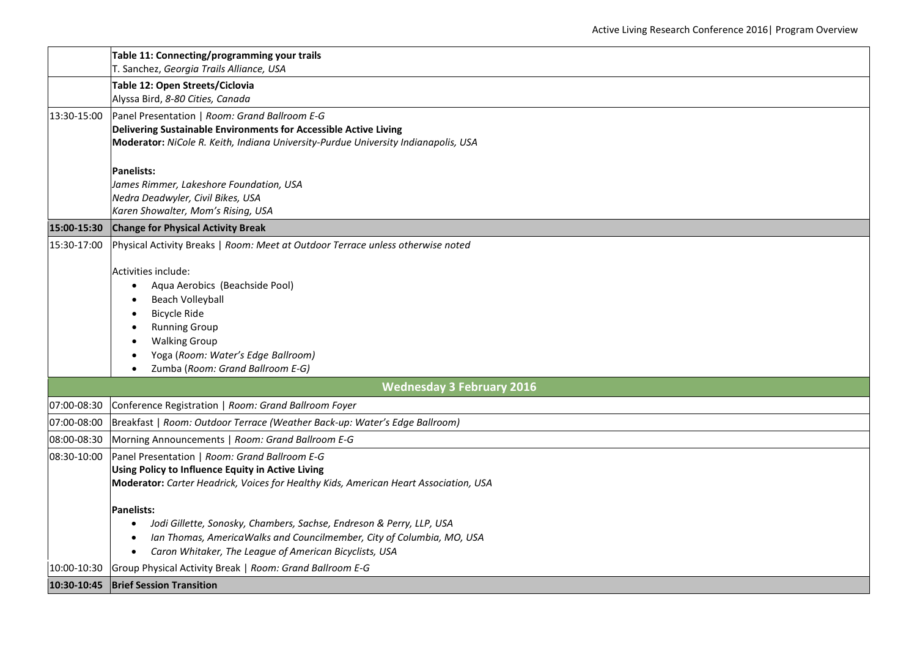|             | Table 11: Connecting/programming your trails<br>T. Sanchez, Georgia Trails Alliance, USA |
|-------------|------------------------------------------------------------------------------------------|
|             | Table 12: Open Streets/Ciclovia                                                          |
|             | Alyssa Bird, 8-80 Cities, Canada                                                         |
| 13:30-15:00 | Panel Presentation   Room: Grand Ballroom E-G                                            |
|             | Delivering Sustainable Environments for Accessible Active Living                         |
|             | Moderator: NiCole R. Keith, Indiana University-Purdue University Indianapolis, USA       |
|             | <b>Panelists:</b>                                                                        |
|             | James Rimmer, Lakeshore Foundation, USA                                                  |
|             | Nedra Deadwyler, Civil Bikes, USA                                                        |
|             | Karen Showalter, Mom's Rising, USA                                                       |
| 15:00-15:30 | <b>Change for Physical Activity Break</b>                                                |
| 15:30-17:00 | Physical Activity Breaks   Room: Meet at Outdoor Terrace unless otherwise noted          |
|             | Activities include:                                                                      |
|             | Aqua Aerobics (Beachside Pool)                                                           |
|             | Beach Volleyball                                                                         |
|             | <b>Bicycle Ride</b>                                                                      |
|             | <b>Running Group</b>                                                                     |
|             | <b>Walking Group</b><br>Yoga (Room: Water's Edge Ballroom)                               |
|             | Zumba (Room: Grand Ballroom E-G)                                                         |
|             | <b>Wednesday 3 February 2016</b>                                                         |
| 07:00-08:30 | Conference Registration   Room: Grand Ballroom Foyer                                     |
| 07:00-08:00 | Breakfast   Room: Outdoor Terrace (Weather Back-up: Water's Edge Ballroom)               |
| 08:00-08:30 | Morning Announcements   Room: Grand Ballroom E-G                                         |
| 08:30-10:00 | Panel Presentation   Room: Grand Ballroom E-G                                            |
|             | Using Policy to Influence Equity in Active Living                                        |
|             | Moderator: Carter Headrick, Voices for Healthy Kids, American Heart Association, USA     |
|             | <b>Panelists:</b>                                                                        |
|             | Jodi Gillette, Sonosky, Chambers, Sachse, Endreson & Perry, LLP, USA<br>$\bullet$        |
|             | Ian Thomas, AmericaWalks and Councilmember, City of Columbia, MO, USA                    |
|             | Caron Whitaker, The League of American Bicyclists, USA<br>$\bullet$                      |
| 10:00-10:30 | Group Physical Activity Break   Room: Grand Ballroom E-G                                 |
|             | 10:30-10:45 Brief Session Transition                                                     |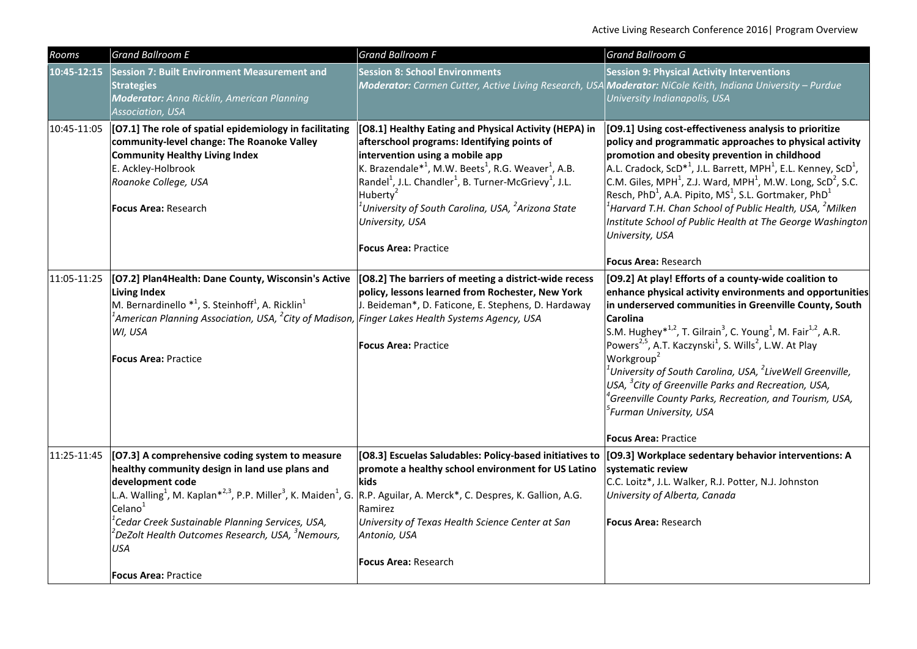| Rooms       | <b>Grand Ballroom E</b>                                                                                                                                                                                                                                                                                                                                                                                                                                                        | <b>Grand Ballroom F</b>                                                                                                                                                                                                                                                                                                                                                                                                                                                               | <b>Grand Ballroom G</b>                                                                                                                                                                                                                                                                                                                                                                                                                                                                                                                                                                                                                                                                                              |
|-------------|--------------------------------------------------------------------------------------------------------------------------------------------------------------------------------------------------------------------------------------------------------------------------------------------------------------------------------------------------------------------------------------------------------------------------------------------------------------------------------|---------------------------------------------------------------------------------------------------------------------------------------------------------------------------------------------------------------------------------------------------------------------------------------------------------------------------------------------------------------------------------------------------------------------------------------------------------------------------------------|----------------------------------------------------------------------------------------------------------------------------------------------------------------------------------------------------------------------------------------------------------------------------------------------------------------------------------------------------------------------------------------------------------------------------------------------------------------------------------------------------------------------------------------------------------------------------------------------------------------------------------------------------------------------------------------------------------------------|
| 10:45-12:15 | Session 7: Built Environment Measurement and<br><b>Strategies</b><br><b>Moderator:</b> Anna Ricklin, American Planning<br>Association, USA                                                                                                                                                                                                                                                                                                                                     | <b>Session 8: School Environments</b><br>Moderator: Carmen Cutter, Active Living Research, USA Moderator: NiCole Keith, Indiana University - Purdue                                                                                                                                                                                                                                                                                                                                   | <b>Session 9: Physical Activity Interventions</b><br>University Indianapolis, USA                                                                                                                                                                                                                                                                                                                                                                                                                                                                                                                                                                                                                                    |
| 10:45-11:05 | [O7.1] The role of spatial epidemiology in facilitating<br>community-level change: The Roanoke Valley<br><b>Community Healthy Living Index</b><br>E. Ackley-Holbrook<br>Roanoke College, USA<br><b>Focus Area: Research</b>                                                                                                                                                                                                                                                    | [O8.1] Healthy Eating and Physical Activity (HEPA) in<br>afterschool programs: Identifying points of<br>intervention using a mobile app<br>K. Brazendale <sup>*1</sup> , M.W. Beets <sup>1</sup> , R.G. Weaver <sup>1</sup> , A.B.<br>$\left \text{Randel}^1\right $ , J.L. Chandler <sup>1</sup> , B. Turner-McGrievy <sup>1</sup> , J.L.<br>Huberty <sup>2</sup><br>University of South Carolina, USA, <sup>2</sup> Arizona State<br>University, USA<br><b>Focus Area: Practice</b> | [09.1] Using cost-effectiveness analysis to prioritize<br>policy and programmatic approaches to physical activity<br>promotion and obesity prevention in childhood<br>A.L. Cradock, ScD <sup>*1</sup> , J.L. Barrett, MPH <sup>1</sup> , E.L. Kenney, ScD <sup>1</sup> ,<br>C.M. Giles, MPH <sup>1</sup> , Z.J. Ward, MPH <sup>1</sup> , M.W. Long, ScD <sup>2</sup> , S.C.<br>Resch, PhD <sup>1</sup> , A.A. Pipito, MS <sup>1</sup> , S.L. Gortmaker, PhD <sup>1</sup><br>$^{\rm 1}$ Harvard T.H. Chan School of Public Health, USA, $^{\rm 2}$ Milken<br>Institute School of Public Health at The George Washington<br>University, USA<br><b>Focus Area: Research</b>                                             |
| 11:05-11:25 | [O7.2] Plan4Health: Dane County, Wisconsin's Active<br>Living Index<br>M. Bernardinello $*^1$ , S. Steinhoff <sup>1</sup> , A. Ricklin <sup>1</sup><br>$^{\rm 1}$ American Planning Association, USA, $^{\rm 2}$ City of Madison, $ $ Finger Lakes Health Systems Agency, USA<br>WI, USA<br><b>Focus Area: Practice</b>                                                                                                                                                        | [08.2] The barriers of meeting a district-wide recess<br>policy, lessons learned from Rochester, New York<br>J. Beideman*, D. Faticone, E. Stephens, D. Hardaway<br><b>Focus Area: Practice</b>                                                                                                                                                                                                                                                                                       | [O9.2] At play! Efforts of a county-wide coalition to<br>enhance physical activity environments and opportunities<br>in underserved communities in Greenville County, South<br><b>Carolina</b><br>S.M. Hughey <sup>*1,2</sup> , T. Gilrain <sup>3</sup> , C. Young <sup>1</sup> , M. Fair <sup>1,2</sup> , A.R.<br>Powers <sup>2,5</sup> , A.T. Kaczynski <sup>1</sup> , S. Wills <sup>2</sup> , L.W. At Play<br>Workgroup <sup>2</sup><br>$^1$ University of South Carolina, USA, $^2$ LiveWell Greenville,<br>USA, <sup>3</sup> City of Greenville Parks and Recreation, USA,<br>$^4$ Greenville County Parks, Recreation, and Tourism, USA,<br><sup>5</sup> Furman University, USA<br><b>Focus Area: Practice</b> |
| 11:25-11:45 | [07.3] A comprehensive coding system to measure<br>healthy community design in land use plans and<br>development code<br>L.A. Walling <sup>1</sup> , M. Kaplan <sup>*2,3</sup> , P.P. Miller <sup>3</sup> , K. Maiden <sup>1</sup> , G. R.P. Aguilar, A. Merck <sup>*</sup> , C. Despres, K. Gallion, A.G.<br>Celano<br>$^1$ Cedar Creek Sustainable Planning Services, USA,<br>$^2$ DeZolt Health Outcomes Research, USA, $^3$ Nemours,<br>USA<br><b>Focus Area: Practice</b> | [O8.3] Escuelas Saludables: Policy-based initiatives to<br>promote a healthy school environment for US Latino<br>kids<br>Ramirez<br>University of Texas Health Science Center at San<br>Antonio, USA<br><b>Focus Area: Research</b>                                                                                                                                                                                                                                                   | [09.3] Workplace sedentary behavior interventions: A<br>systematic review<br>C.C. Loitz*, J.L. Walker, R.J. Potter, N.J. Johnston<br>University of Alberta, Canada<br><b>Focus Area: Research</b>                                                                                                                                                                                                                                                                                                                                                                                                                                                                                                                    |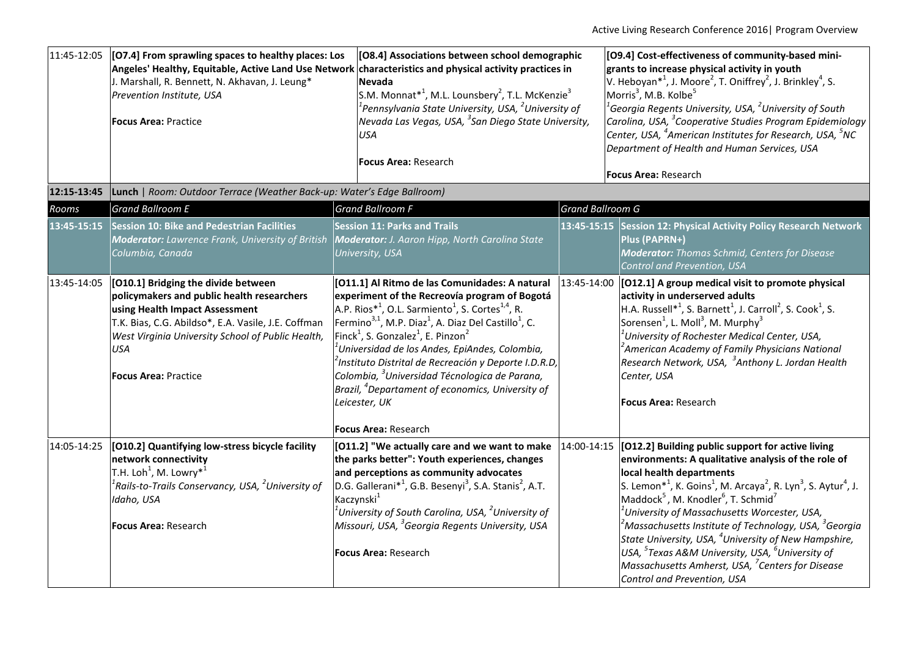| 11:45-12:05 | [O7.4] From sprawling spaces to healthy places: Los<br>Angeles' Healthy, Equitable, Active Land Use Network<br>J. Marshall, R. Bennett, N. Akhavan, J. Leung*<br>Prevention Institute, USA<br><b>Focus Area: Practice</b>                                                    | [O8.4] Associations between school demographic<br>characteristics and physical activity practices in<br><b>Nevada</b><br>S.M. Monnat* <sup>1</sup> , M.L. Lounsbery <sup>2</sup> , T.L. McKenzie <sup>3</sup><br>$^{\rm 1}$ Pennsylvania State University, USA, $^{\rm 2}$ University of<br>Nevada Las Vegas, USA, <sup>3</sup> San Diego State University,<br><b>USA</b><br><b>Focus Area: Research</b>                                                                                                                                                                                                                                                                     |                         | [O9.4] Cost-effectiveness of community-based mini-<br>grants to increase physical activity in youth<br>V. Heboyan <sup>*1</sup> , J. Moore <sup>2</sup> , T. Oniffrey <sup>2</sup> , J. Brinkley <sup>4</sup> , S.<br>Morris <sup>3</sup> , M.B. Kolbe <sup>5</sup><br>$^1$ Georgia Regents University, USA, $^2$ University of South<br>Carolina, USA, <sup>3</sup> Cooperative Studies Program Epidemiology<br>Center, USA, <sup>4</sup> American Institutes for Research, USA, <sup>5</sup> NC<br>Department of Health and Human Services, USA<br><b>Focus Area: Research</b>                                                                                                                                |
|-------------|------------------------------------------------------------------------------------------------------------------------------------------------------------------------------------------------------------------------------------------------------------------------------|------------------------------------------------------------------------------------------------------------------------------------------------------------------------------------------------------------------------------------------------------------------------------------------------------------------------------------------------------------------------------------------------------------------------------------------------------------------------------------------------------------------------------------------------------------------------------------------------------------------------------------------------------------------------------|-------------------------|-----------------------------------------------------------------------------------------------------------------------------------------------------------------------------------------------------------------------------------------------------------------------------------------------------------------------------------------------------------------------------------------------------------------------------------------------------------------------------------------------------------------------------------------------------------------------------------------------------------------------------------------------------------------------------------------------------------------|
| 12:15-13:45 | Lunch   Room: Outdoor Terrace (Weather Back-up: Water's Edge Ballroom)                                                                                                                                                                                                       |                                                                                                                                                                                                                                                                                                                                                                                                                                                                                                                                                                                                                                                                              |                         |                                                                                                                                                                                                                                                                                                                                                                                                                                                                                                                                                                                                                                                                                                                 |
| Rooms       | <b>Grand Ballroom E</b>                                                                                                                                                                                                                                                      | <b>Grand Ballroom F</b>                                                                                                                                                                                                                                                                                                                                                                                                                                                                                                                                                                                                                                                      | <b>Grand Ballroom G</b> |                                                                                                                                                                                                                                                                                                                                                                                                                                                                                                                                                                                                                                                                                                                 |
| 13:45-15:15 | <b>Session 10: Bike and Pedestrian Facilities</b><br><b>Moderator:</b> Lawrence Frank, University of British<br>Columbia, Canada                                                                                                                                             | <b>Session 11: Parks and Trails</b><br><b>Moderator:</b> J. Aaron Hipp, North Carolina State<br>University, USA                                                                                                                                                                                                                                                                                                                                                                                                                                                                                                                                                              | 13:45-15:15             | <b>Session 12: Physical Activity Policy Research Network</b><br>Plus (PAPRN+)<br><b>Moderator:</b> Thomas Schmid, Centers for Disease<br>Control and Prevention, USA                                                                                                                                                                                                                                                                                                                                                                                                                                                                                                                                            |
| 13:45-14:05 | [010.1] Bridging the divide between<br>policymakers and public health researchers<br>using Health Impact Assessment<br>T.K. Bias, C.G. Abildso*, E.A. Vasile, J.E. Coffman<br>West Virginia University School of Public Health,<br><b>USA</b><br><b>Focus Area: Practice</b> | [011.1] Al Ritmo de las Comunidades: A natural<br>experiment of the Recreovía program of Bogotá<br>A.P. Rios* <sup>1</sup> , O.L. Sarmiento <sup>1</sup> , S. Cortes <sup>1,4</sup> , R.<br>Fermino <sup>3,1</sup> , M.P. Diaz <sup>1</sup> , A. Diaz Del Castillo <sup>1</sup> , C.<br>Finck <sup>1</sup> , S. Gonzalez <sup>1</sup> , E. Pinzon <sup>2</sup><br>$^{\rm 1}$ Universidad de los Andes, EpiAndes, Colombia,<br><sup>2</sup> Instituto Distrital de Recreación y Deporte I.D.R.D,<br>Colombia, <sup>3</sup> Universidad Técnologica de Parana,<br>Brazil, <sup>4</sup> Departament of economics, University of<br>Leicester, UK<br><b>Focus Area: Research</b> |                         | $13:45-14:00$ [O12.1] A group medical visit to promote physical<br>activity in underserved adults<br>$H.A.$ Russell <sup>*1</sup> , S. Barnett <sup>1</sup> , J. Carroll <sup>2</sup> , S. Cook <sup>1</sup> , S.<br>Sorensen <sup>1</sup> , L. Moll <sup>3</sup> , M. Murphy <sup>3</sup><br><sup>1</sup> University of Rochester Medical Center, USA,<br><sup>2</sup> American Academy of Family Physicians National<br>Research Network, USA, <sup>3</sup> Anthony L. Jordan Health<br>Center, USA<br><b>Focus Area: Research</b>                                                                                                                                                                            |
| 14:05-14:25 | [010.2] Quantifying low-stress bicycle facility<br>network connectivity<br>T.H. Loh <sup>1</sup> , M. Lowry <sup>*1</sup><br>$^1$ Rails-to-Trails Conservancy, USA, $^2$ University of<br>Idaho, USA<br><b>Focus Area:</b> Research                                          | [011.2] "We actually care and we want to make<br>the parks better": Youth experiences, changes<br>and perceptions as community advocates<br>D.G. Gallerani* <sup>1</sup> , G.B. Besenyi <sup>3</sup> , S.A. Stanis <sup>2</sup> , A.T.<br>Kaczynski <sup>1</sup><br>$^1$ University of South Carolina, USA, $^2$ University of<br>Missouri, USA, <sup>3</sup> Georgia Regents University, USA<br><b>Focus Area: Research</b>                                                                                                                                                                                                                                                 | 14:00-14:15             | [012.2] Building public support for active living<br>environments: A qualitative analysis of the role of<br>local health departments<br>S. Lemon <sup>*1</sup> , K. Goins <sup>1</sup> , M. Arcaya <sup>2</sup> , R. Lyn <sup>3</sup> , S. Aytur <sup>4</sup> , J.<br>Maddock <sup>5</sup> , M. Knodler <sup>6</sup> , T. Schmid <sup>7</sup><br>$\vert$ <sup>1</sup> University of Massachusetts Worcester, USA,<br>$ ^2$ Massachusetts Institute of Technology, USA, $^3$ Georgia<br>State University, USA, <sup>4</sup> University of New Hampshire,<br>USA, $5$ Texas A&M University, USA, $6$ University of<br>Massachusetts Amherst, USA, <sup>7</sup> Centers for Disease<br>Control and Prevention, USA |